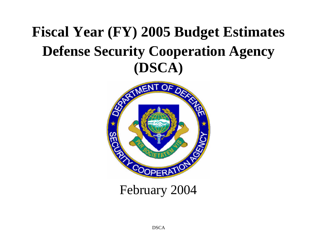# **Fiscal Year (FY) 2005 Budget Estimates Defense Security Cooperation Agency (DSCA)**

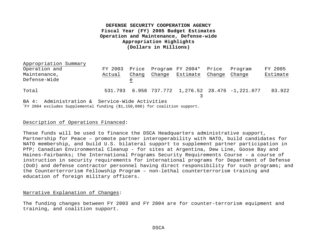## **DEFENSE SECURITY COOPERATION AGENCY Fiscal Year (FY) 2005 Budget Estimates Operation and Maintenance, Defense-wide Appropriation Highlights (Dollars in Millions)**

| Appropriation Summary                          |         |       |                              |        |                                                            |          |
|------------------------------------------------|---------|-------|------------------------------|--------|------------------------------------------------------------|----------|
| Operation and                                  | FY 2003 |       | Price Program FY 2004* Price |        | Program                                                    | FY 2005  |
| Maintenance,                                   | Actual  | Chang | Change Estimate              | Change | Change                                                     | Estimate |
| Defense-Wide                                   |         | e     |                              |        |                                                            |          |
| Total                                          |         |       |                              |        | 531.793   6.958   737.772   1,276.52   28.476   -1,221.077 | 83.922   |
| BA 4: Administration & Service-Wide Activities |         |       |                              |        |                                                            |          |

\*FY 2004 excludes Supplemental funding (\$1,150,000) for coalition support.

#### Description of Operations Financed:

These funds will be used to finance the DSCA Headquarters administrative support, Partnership for Peace – promote partner interoperability with NATO, build candidates for NATO membership, and build U.S. bilateral support to supplement partner participation in PfP; Canadian Environmental Cleanup - for sites at Argentina, Dew Line, Goose Bay and Haines-Fairbanks; the International Programs Security Requirements Course - a course of instruction in security requirements for international programs for Department of Defense (DoD) and defense contractor personnel having direct responsibility for such programs; and the Counterterrorism Fellowship Program – non-lethal counterterrorism training and education of foreign military officers.

#### Narrative Explanation of Changes:

The funding changes between FY 2003 and FY 2004 are for counter-terrorism equipment and training, and coalition support.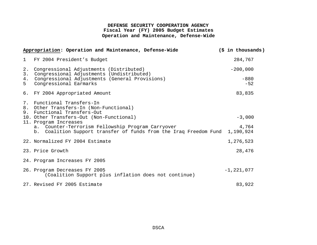## **DEFENSE SECURITY COOPERATION AGENCY Fiscal Year (FY) 2005 Budget Estimates Operation and Maintenance, Defense-Wide**

|              | Appropriation: Operation and Maintenance, Defense-Wide                                                                 | $(\frac{1}{2}$ in thousands) |  |
|--------------|------------------------------------------------------------------------------------------------------------------------|------------------------------|--|
| $\mathbf{1}$ | FY 2004 President's Budget                                                                                             | 284,767                      |  |
| 2.<br>3.     | Congressional Adjustments (Distributed)<br>Congressional Adjustments (Undistributed)                                   | $-200,000$                   |  |
| 4.<br>5      | Congressional Adjustments (General Provisions)<br>Congressional Earmarks                                               | $-880$<br>$-52$              |  |
|              | 6. FY 2004 Appropriated Amount                                                                                         | 83,835                       |  |
|              | 7. Functional Transfers-In<br>8. Other Transfers-In (Non-Functional)<br>9. Functional Transfers-Out                    |                              |  |
|              | 10. Other Transfers-Out (Non-Functional)<br>11. Program Increases                                                      | $-3,000$                     |  |
|              | a. Counter-Terrorism Fellowship Program Carryover<br>b. Coalition Support transfer of funds from the Iraq Freedom Fund | 4,764<br>1,190,924           |  |
|              | 22. Normalized FY 2004 Estimate                                                                                        | 1,276,523                    |  |
|              | 23. Price Growth                                                                                                       | 28,476                       |  |
|              | 24. Program Increases FY 2005                                                                                          |                              |  |
|              | 26. Program Decreases FY 2005<br>(Coalition Support plus inflation does not continue)                                  | $-1, 221, 077$               |  |
|              | 27. Revised FY 2005 Estimate                                                                                           | 83,922                       |  |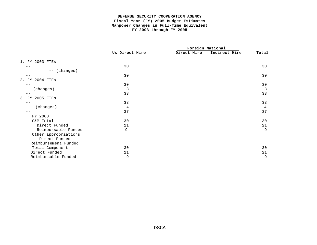#### **DEFENSE SECURITY COOPERATION AGENCY Fiscal Year (FY) 2005 Budget Estimates Manpower Changes in Full-Time Equivalent FY 2003 through FY 2005**

|                       |                |             | Foreign National |                |
|-----------------------|----------------|-------------|------------------|----------------|
|                       | Us Direct Hire | Direct Hire | Indirect Hire    | Total          |
| 1. FY 2003 FTES       |                |             |                  |                |
| - -                   | 30             |             |                  | 30             |
| (changes)<br>$- -$    |                |             |                  |                |
|                       | 30             |             |                  | 30             |
| 2004 FTES<br>2.<br>FY |                |             |                  |                |
|                       | 30             |             |                  | 30             |
| (changes)<br>$- -$    | $\mathbf{3}$   |             |                  | $\overline{3}$ |
|                       | 33             |             |                  | 33             |
| 2005 FTEs<br>3.<br>FY |                |             |                  |                |
| - -                   | 33             |             |                  | 33             |
| (changes)<br>$- -$    | 4              |             |                  | $\overline{4}$ |
| - -                   | 37             |             |                  | 37             |
| FY 2003               |                |             |                  |                |
| O&M Total             | 30             |             |                  | 30             |
| Direct Funded         | 21             |             |                  | 21             |
| Reimbursable Funded   | 9              |             |                  | 9              |
| Other appropriations  |                |             |                  |                |
| Direct Funded         |                |             |                  |                |
| Reimbursement Funded  |                |             |                  |                |
| Total Component       | 30             |             |                  | 30             |
| Direct Funded         | 21             |             |                  | 21             |
| Reimbursable Funded   | 9              |             |                  | 9              |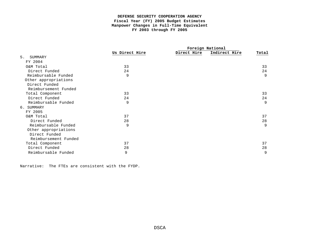#### **DEFENSE SECURITY COOPERATION AGENCY Fiscal Year (FY) 2005 Budget Estimates Manpower Changes in Full-Time Equivalent FY 2003 through FY 2005**

|                      |                |             | Foreign National |       |
|----------------------|----------------|-------------|------------------|-------|
|                      | Us Direct Hire | Direct Hire | Indirect Hire    | Total |
| 5.<br>SUMMARY        |                |             |                  |       |
| FY 2004              |                |             |                  |       |
| O&M Total            | 33             |             |                  | 33    |
| Direct Funded        | 24             |             |                  | 24    |
| Reimbursable Funded  | 9              |             |                  | 9     |
| Other appropriations |                |             |                  |       |
| Direct Funded        |                |             |                  |       |
| Reimbursement Funded |                |             |                  |       |
| Total Component      | 33             |             |                  | 33    |
| Direct Funded        | 24             |             |                  | 24    |
| Reimbursable Funded  | 9              |             |                  | 9     |
| 6. SUMMARY           |                |             |                  |       |
| FY 2005              |                |             |                  |       |
| O&M Total            | 37             |             |                  | 37    |
| Direct Funded        | 28             |             |                  | 28    |
| Reimbursable Funded  | 9              |             |                  | 9     |
| Other appropriations |                |             |                  |       |
| Direct Funded        |                |             |                  |       |
| Reimbursement Funded |                |             |                  |       |
| Total Component      | 37             |             |                  | 37    |
| Direct Funded        | 28             |             |                  | 28    |
| Reimbursable Funded  | 9              |             |                  | 9     |

Narrative: The FTEs are consistent with the FYDP.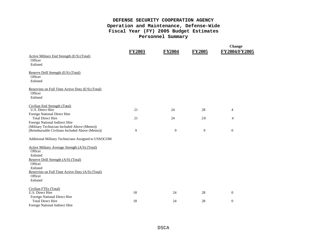# **DEFENSE SECURITY COOPERATION AGENCY Operation and Maintenance, Defense-Wide Fiscal Year (FY) 2005 Budget Estimates Personnel Summary**

|                                                     | <b>FY2003</b> | <b>FY2004</b> | <b>FY2005</b> | <b>Change</b><br>FY2004/FY2005 |
|-----------------------------------------------------|---------------|---------------|---------------|--------------------------------|
| Active Military End Strength (E/S) (Total)          |               |               |               |                                |
| Officer                                             |               |               |               |                                |
| Enlisted                                            |               |               |               |                                |
| Reserve Drill Strength (E/S) (Total)                |               |               |               |                                |
| Officer                                             |               |               |               |                                |
| Enlisted                                            |               |               |               |                                |
| Reservists on Full Time Active Duty (E/S) (Total)   |               |               |               |                                |
| Officer                                             |               |               |               |                                |
| Enlisted                                            |               |               |               |                                |
| Civilian End Strength (Total)                       |               |               |               |                                |
| <b>U.S. Direct Hire</b>                             | 21            | 24            | 28            | 4                              |
| Foreign National Direct Hire                        |               |               |               |                                |
| <b>Total Direct Hire</b>                            | 21            | 24            | 28            | $\overline{4}$                 |
| Foreign National Indirect Hire                      |               |               |               |                                |
| (Military Technician Included Above (Memo))         |               |               |               |                                |
| (Reimbursable Civilians Included Above (Memo))      | 9             | 9             | 9             | $\mathbf{0}$                   |
| Additional Military Technicians Assigned to USSOCOM |               |               |               |                                |
| Active Military Average Strength (A/S) (Total)      |               |               |               |                                |
| Officer                                             |               |               |               |                                |
| Enlisted                                            |               |               |               |                                |
| Reserve Drill Strength (A/S) (Total)                |               |               |               |                                |
| Officer                                             |               |               |               |                                |
| Enlisted                                            |               |               |               |                                |
| Reservists on Full Time Active Duty (A/S) (Total)   |               |               |               |                                |
| Officer                                             |               |               |               |                                |
| Enlisted                                            |               |               |               |                                |
| Civilian FTEs (Total)                               |               |               |               |                                |
| U.S. Direct Hire                                    | 18            | 24            | 28            | $\theta$                       |
| Foreign National Direct Hire                        |               |               |               |                                |
| <b>Total Direct Hire</b>                            | 18            | 24            | 28            | $\boldsymbol{0}$               |
| Foreign National Indirect Hire                      |               |               |               |                                |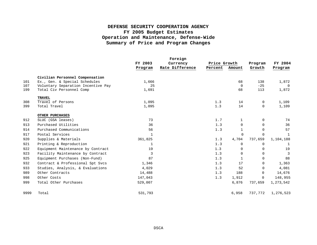# **DEFENSE SECURITY COOPERATION AGENCY FY 2005 Budget Estimates Operation and Maintenance, Defense-Wide Summary of Price and Program Changes**

|      |                                    |         | Foreign         |              |                |             |                |
|------|------------------------------------|---------|-----------------|--------------|----------------|-------------|----------------|
|      |                                    | FY 2003 | Currency        | Price Growth |                | Program     | FY 2004        |
|      |                                    | Program | Rate Difference | Percent      | Amount         | Growth      | Program        |
|      | Civilian Personnel Compensation    |         |                 |              |                |             |                |
| 101  | Ex., Gen. & Special Schedules      | 1,666   |                 |              | 68             | 138         | 1,872          |
| 107  | Voluntary Separation Incentive Pay | 25      |                 |              | $\overline{0}$ | $-25$       | $\overline{0}$ |
| 199  | Total Civ Personnel Comp           | 1,691   |                 |              | 68             | 113         | 1,872          |
|      | <b>TRAVEL</b>                      |         |                 |              |                |             |                |
| 308  | Travel of Persons                  | 1,095   |                 | 1.3          | 14             | $\Omega$    | 1,109          |
| 399  | Total Travel                       | 1,095   |                 | 1.3          | 14             | $\mathbf 0$ | 1,109          |
|      | OTHER PURCHASES                    |         |                 |              |                |             |                |
| 912  | SLUC (GSA leases)                  | 73      |                 | 1.7          | 1              | $\Omega$    | 74             |
| 913  | Purchased Utilities                | 36      |                 | 1.3          | $\mathbf 0$    | $\Omega$    | 36             |
| 914  | Purchased Communications           | 56      |                 | 1.3          | $\mathbf{1}$   | $\Omega$    | 57             |
| 917  | Postal Services                    | 1       |                 |              | $\Omega$       | $\Omega$    | -1             |
| 920  | Supplies & Materials               | 361,825 |                 | 1.3          | 4,704          | 737,659     | 1,104,188      |
| 921  | Printing & Reproduction            | 1       |                 | 1.3          | $\Omega$       | $\Omega$    | 1              |
| 922  | Equipment Maintenance by Contract  | 19      |                 | 1.3          | 0              | $\mathbf 0$ | 19             |
| 923  | Facility Maintenance by Contract   | 3       |                 | 1.3          | $\Omega$       | $\Omega$    | $\overline{3}$ |
| 925  | Equipment Purchases (Non-Fund)     | 87      |                 | 1.3          | $\mathbf{1}$   | $\Omega$    | 88             |
| 932  | Contract & Professional Spt Svcs   | 1,346   |                 | 1.3          | 17             | $\Omega$    | 1,363          |
| 933  | Studies, Analysis, & Evaluations   | 4,029   |                 | 1.3          | 52             | $\Omega$    | 4,081          |
| 989  | Other Contracts                    | 14,488  |                 | 1.3          | 188            | $\mathbf 0$ | 14,676         |
| 998  | Other Costs                        | 147,043 |                 | 1.3          | 1,912          | $\mathbf 0$ | 148,955        |
| 999  | Total Other Purchases              | 529,007 |                 |              | 6,876          | 737,659     | 1,273,542      |
| 9999 | Total                              | 531,793 |                 |              | 6,958          | 737,772     | 1,276,523      |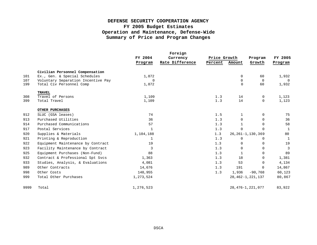# **DEFENSE SECURITY COOPERATION AGENCY FY 2005 Budget Estimates Operation and Maintenance, Defense-Wide Summary of Price and Program Changes**

|      |                                    |              | Foreign         |              |              |                         |                |
|------|------------------------------------|--------------|-----------------|--------------|--------------|-------------------------|----------------|
|      |                                    | FY 2004      | Currency        | Price Growth |              | Program                 | FY 2005        |
|      |                                    | Program      | Rate Difference | Percent      | Amount       | Growth                  | Program        |
|      | Civilian Personnel Compensation    |              |                 |              |              |                         |                |
| 101  | Ex., Gen. & Special Schedules      | 1,872        |                 |              | 0            | 60                      | 1,932          |
| 107  | Voluntary Separation Incentive Pay | $\mathbf 0$  |                 |              | 0            | $\Omega$                | $\overline{0}$ |
| 199  | Total Civ Personnel Comp           | 1,872        |                 |              | $\Omega$     | 60                      | 1,932          |
|      | <b>TRAVEL</b>                      |              |                 |              |              |                         |                |
| 308  | Travel of Persons                  | 1,109        |                 | 1.3          | 14           | 0                       | 1,123          |
| 399  | Total Travel                       | 1,109        |                 | 1.3          | 14           | $\Omega$                | 1,123          |
|      | OTHER PURCHASES                    |              |                 |              |              |                         |                |
| 912  | SLUC (GSA leases)                  | 74           |                 | 1.5          | $\mathbf 1$  | 0                       | 75             |
| 913  | Purchased Utilities                | 36           |                 | 1.3          | $\Omega$     | $\Omega$                | 36             |
| 914  | Purchased Communications           | 57           |                 | 1.3          | $\mathbf{1}$ | $\Omega$                | 58             |
| 917  | Postal Services                    | $\mathbf{1}$ |                 | 1.3          | $\Omega$     | 0                       | <sup>1</sup>   |
| 920  | Supplies & Materials               | 1,104,188    |                 | 1.3          |              | $26, 261 - 1, 130, 369$ | 80             |
| 921  | Printing & Reproduction            | 1            |                 | 1.3          | 0            | 0                       | $\mathbf{1}$   |
| 922  | Equipment Maintenance by Contract  | 19           |                 | 1.3          | 0            | 0                       | 19             |
| 923  | Facility Maintenance by Contract   | 3            |                 | 1.3          | $\Omega$     | $\Omega$                | $\overline{3}$ |
| 925  | Equipment Purchases (Non-Fund)     | 88           |                 | 1.3          | 1            | $\Omega$                | 89             |
| 932  | Contract & Professional Spt Svcs   | 1,363        |                 | 1.3          | 18           | 0                       | 1,381          |
| 933  | Studies, Analysis, & Evaluations   | 4,081        |                 | 1.3          | 53           | 0                       | 4,134          |
| 989  | Other Contracts                    | 14,676       |                 | 1.3          | 191          | $\Omega$                | 14,867         |
| 998  | Other Costs                        | 148,955      |                 | 1.3          | 1,936        | $-90,768$               | 60,123         |
| 999  | Total Other Purchases              | 1,273,524    |                 |              |              | 28, 462-1, 221, 137     | 80,867         |
| 9999 | Total                              | 1,276,523    |                 |              |              | 28, 476-1, 221, 077     | 83,922         |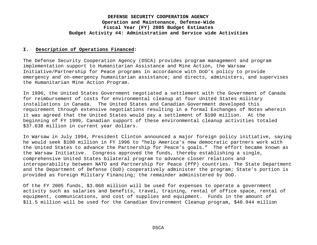#### **I. Description of Operations Financed:**

The Defense Security Cooperation Agency (DSCA) provides program management and program implementation support to Humanitarian Assistance and Mine Action, the Warsaw Initiative/Partnership for Peace programs in accordance with DoD's policy to provide emergency and on-emergency humanitarian assistance; and directs, administers, and supervises the Humanitarian Mine Action Program.

In 1996, the United States Government negotiated a settlement with the Government of Canada for reimbursement of costs for environmental cleanup at four United States military installations in Canada. The United States and Canadian Government developed this requirement through extensive negotiations resulting in a formal Exchanges of Notes wherein it was agreed that the United States would pay a settlement of \$100 million. At the beginning of FY 1999, Canadian support of these environmental cleanup activities totaled \$37.638 million in current year dollars.

In Warsaw in July 1994, President Clinton announced a major foreign policy initiative, saying he would seek \$100 million in FY 1996 to "help America's new democratic partners work with the United States to advance the Partnership for Peace's goals." The effort became known as the Warsaw Initiative. Congress approved the funds, thereby establishing a single, comprehensive United States bilateral program to advance closer relations and interoperability between NATO and Partnership for Peace (PfP) countries. The State Department and the Department of Defense (DoD) cooperatively administer the program; State's portion is provided as Foreign Military Financing; the remainder administered by DoD.

Of the FY 2005 funds, \$3.068 million will be used for expenses to operate a government activity such as salaries and benefits, travel, training, rental of office space, rental of equipment, communications, and cost of supplies and equipment. Funds in the amount of \$11.5 million will be used for the Canadian Environment Cleanup program, \$48.944 million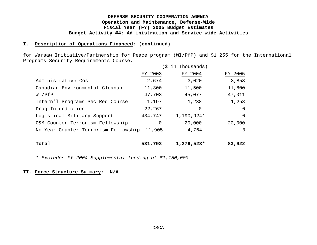#### **I. Description of Operations Financed: (continued)**

for Warsaw Initiative/Partnership for Peace program (WI/PfP) and \$1.255 for the International Programs Security Requirements Course.

|                                      | ς.      | in Thousands) |          |
|--------------------------------------|---------|---------------|----------|
|                                      | FY 2003 | FY 2004       | FY 2005  |
| Administrative Cost                  | 2,674   | 3,020         | 3,853    |
| Canadian Environmental Cleanup       | 11,300  | 11,500        | 11,800   |
| WI/PfP                               | 47,703  | 45,077        | 47,011   |
| Intern'l Programs Sec Req Course     | 1,197   | 1,238         | 1,258    |
| Drug Interdiction                    | 22,267  | 0             | 0        |
| Logistical Military Support          | 434,747 | 1,190,924*    | $\Omega$ |
| O&M Counter Terrorism Fellowship     | 0       | 20,000        | 20,000   |
| No Year Counter Terrorism Fellowship | 11,905  | 4,764         | $\Omega$ |
| Total                                | 531,793 | $1,276,523*$  | 83,922   |

*\* Excludes FY 2004 Supplemental funding of \$1,150,000*

#### **II. Force Structure Summary: N/A**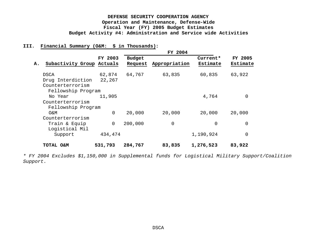## **III. Financial Summary (O&M: \$ in Thousands):**

|    |                                                      |                  |                          | FY 2004       |                      |                     |
|----|------------------------------------------------------|------------------|--------------------------|---------------|----------------------|---------------------|
| Α. | Subactivity Group Actuals                            | FY 2003          | <b>Budget</b><br>Request | Appropriation | Current*<br>Estimate | FY 2005<br>Estimate |
|    | <b>DSCA</b><br>Drug Interdiction<br>Counterterrorism | 62,874<br>22,267 | 64,767                   | 63,835        | 60,835               | 63,922              |
|    | Fellowship Program<br>No Year                        | 11,905           |                          |               | 4,764                | 0                   |
|    | Counterterrorism<br>Fellowship Program               |                  |                          |               |                      |                     |
|    | O&M                                                  | 0                | 20,000                   | 20,000        | 20,000               | 20,000              |
|    | Counterterrorism                                     |                  |                          |               |                      |                     |
|    | Train & Equip<br>Logistical Mil                      | 0                | 200,000                  | 0             | $\Omega$             | 0                   |
|    | Support                                              | 434,474          |                          |               | 1,190,924            | 0                   |
|    | TOTAL O&M                                            | 531,793          | 284,767                  | 83,835        | 1,276,523            | 83,922              |

*\* FY 2004 Excludes \$1,150,000 in Supplemental funds for Logistical Military Support/Coalition Support.*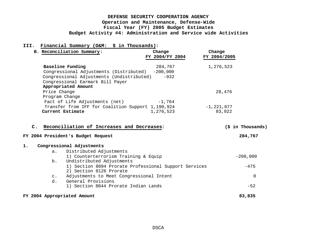## **III. Financial Summary (O&M: \$ in Thousands):**

|                | B. Reconciliation Summary:                                                    | Change<br>FY 2004/FY 2004 | Change<br>FY 2004/2005 |  |
|----------------|-------------------------------------------------------------------------------|---------------------------|------------------------|--|
|                | Baseline Funding<br>Congressional Adjustments (Distributed) -200,000          | 284,767                   | 1,276,523              |  |
|                | Congressional Adjustments (Undistributed)<br>Congressional Earmark Bill Payer | $-932$                    |                        |  |
|                | Appropriated Amount                                                           |                           |                        |  |
|                | Price Change                                                                  |                           | 28,476                 |  |
|                | Program Change                                                                |                           |                        |  |
|                | Fact of Life Adjustments (net)                                                | $-1,764$                  |                        |  |
|                | Transfer from IFF for Coalition Support 1,190,924                             |                           | $-1, 221, 077$         |  |
|                | Current Estimate                                                              | 1,276,523                 | 83,922                 |  |
| $\mathbf{c}$ . | Reconciliation of Increases and Decreases:                                    |                           | (\$ in Thousands)      |  |
|                | FY 2004 President's Budget Request                                            |                           | 284,767                |  |

#### **1. Congressional Adjustments**

| а.             | Distributed Adjustments                               |            |
|----------------|-------------------------------------------------------|------------|
|                | 1) Counterterrorism Training & Equip                  | $-200,000$ |
| b.             | Undistributed Adjustments                             |            |
|                | 1) Section 8094 Prorate Professional Support Services | $-475$     |
|                | 2) Section 8126 Prorate                               |            |
| $\mathsf{C}$ . | Adjustments to Meet Congressional Intent              | $\Omega$   |
| d.             | General Provisions                                    |            |
|                | 1) Section 8044 Prorate Indian Lands                  | $-52$      |
|                | FY 2004 Appropriated Amount                           | 83,835     |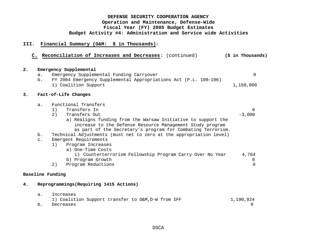## **III. Financial Summary (O&M: \$ in Thousands):**

| $\overline{\mathbf{2}}$ .<br>a. |    | Emergency Supplemental<br>Emergency Supplemental Funding Carryover                           | 0         |
|---------------------------------|----|----------------------------------------------------------------------------------------------|-----------|
| b.                              |    | FY 2004 Emergency Supplemental Appropriations Act (P.L. 108-106)<br>1) Coalition Support     | 1,150,000 |
| 3.                              |    | Fact-of-Life Changes                                                                         |           |
| $a$ .                           |    | Functional Transfers                                                                         |           |
|                                 | 1) | Transfers In                                                                                 | $\Omega$  |
|                                 | 2) | Transfers Out                                                                                | $-3,000$  |
|                                 |    | a) Realigns funding from the Warsaw Initiative to support the                                |           |
|                                 |    | increase to the Defense Resource Management Study program                                    |           |
|                                 |    | as part of the Secretary's program for Combating Terrorism.                                  |           |
| $b$ .<br>$\mathsf{C}$ .         |    | Technical Adjustments (must net to zero at the appropriation level)<br>Emergent Requirements |           |
|                                 | 1) | Program Increases                                                                            |           |
|                                 |    | a) One-Time Costs                                                                            |           |
|                                 |    | i) Counterterrorism Fellowship Program Carry Over No Year                                    | 4,764     |
|                                 |    | b) Program Growth                                                                            | $\Omega$  |
|                                 | 2) | Program Reductions                                                                           | 0         |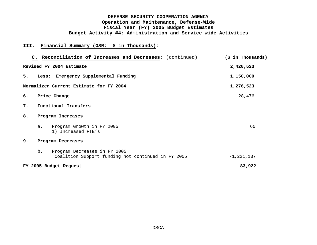## **III. Financial Summary (O&M: \$ in Thousands):**

|    | C. Reconciliation of Increases and Decreases: (continued)                                | (\$ in Thousands) |  |  |  |  |  |
|----|------------------------------------------------------------------------------------------|-------------------|--|--|--|--|--|
|    | Revised FY 2004 Estimate                                                                 | 2,426,523         |  |  |  |  |  |
| 5. | Emergency Supplemental Funding<br>Less:                                                  | 1,150,000         |  |  |  |  |  |
|    | Normalized Current Estimate for FY 2004                                                  | 1,276,523         |  |  |  |  |  |
| б. | Price Change                                                                             | 28,476            |  |  |  |  |  |
| 7. | Functional Transfers                                                                     |                   |  |  |  |  |  |
| 8. | Program Increases                                                                        |                   |  |  |  |  |  |
|    | Program Growth in FY 2005<br>a.<br>1) Increased FTE's                                    | 60                |  |  |  |  |  |
| 9. | Program Decreases                                                                        |                   |  |  |  |  |  |
|    | Program Decreases in FY 2005<br>b.<br>Coalition Support funding not continued in FY 2005 | $-1, 221, 137$    |  |  |  |  |  |
|    | FY 2005 Budget Request                                                                   | 83,922            |  |  |  |  |  |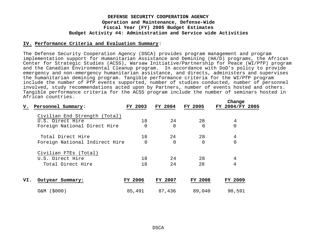#### **IV. Performance Criteria and Evaluation Summary**:

The Defense Security Cooperation Agency (DSCA) provides program management and program implementation support for Humanitarian Assistance and Demining (HA/D) programs, the African Center for Strategic Studies (ACSS), Warsaw Initiative/Partnership for Peace (WI/PfP) program and the Canadian Environmental Cleanup program. In accordance with DoD's policy to provide emergency and non-emergency humanitarian assistance, and directs, administers and supervises the humanitarian demining program. Tangible performance criteria for the WI/PfP program include the number of PfP events supported, number of studies conducted, number of personnel involved, study recommendations acted upon by Partners, number of events hosted and others. Tangible performance criteria for the ACSS program include the number of seminars hosted in African countries. **Change**

| v.  | Personnel Summary:             | FY 2003 | FY 2004  | FY 2005        | <b>Change</b><br>FY 2004/FY 2005 |  |
|-----|--------------------------------|---------|----------|----------------|----------------------------------|--|
|     | Civilian End Strength (Total)  |         |          |                |                                  |  |
|     | U.S. Direct Hire               | 18      | 24       | 28             | 4                                |  |
|     | Foreign National Direct Hire   |         | $\Omega$ | 0              | 0                                |  |
|     | Total Direct Hire              | 18      | 24       | 28             | 4                                |  |
|     | Foreign National Indirect Hire |         | $\Omega$ | 0              |                                  |  |
|     | Civilian FTEs (Total)          |         |          |                |                                  |  |
|     | U.S. Direct Hire               | 18      | 24       | 28             | 4                                |  |
|     | Total Direct Hire              | 18      | 24       | 28             | 4                                |  |
| VI. | Outyear Summary:               | FY 2006 | FY 2007  | <b>FY 2008</b> | FY 2009                          |  |
|     | O&M (\$000)                    | 85,491  | 87,436   | 89,040         | 90,591                           |  |